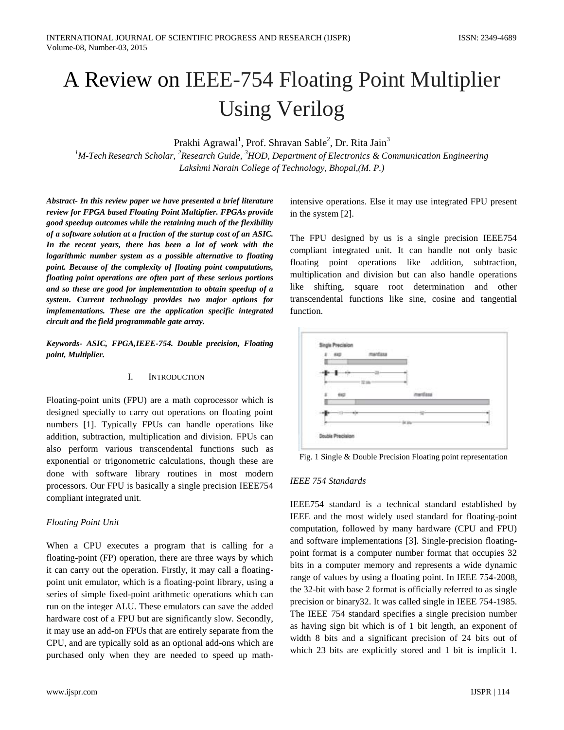# A Review on IEEE-754 Floating Point Multiplier Using Verilog

Prakhi Agrawal<sup>1</sup>, Prof. Shravan Sable<sup>2</sup>, Dr. Rita Jain<sup>3</sup>

*<sup>1</sup>M-Tech Research Scholar, <sup>2</sup>Research Guide, <sup>3</sup>HOD, Department of Electronics & Communication Engineering Lakshmi Narain College of Technology, Bhopal,(M. P.)*

*Abstract- In this review paper we have presented a brief literature review for FPGA based Floating Point Multiplier. FPGAs provide good speedup outcomes while the retaining much of the flexibility of a software solution at a fraction of the startup cost of an ASIC. In the recent years, there has been a lot of work with the logarithmic number system as a possible alternative to floating point. Because of the complexity of floating point computations, floating point operations are often part of these serious portions and so these are good for implementation to obtain speedup of a system. Current technology provides two major options for implementations. These are the application specific integrated circuit and the field programmable gate array.*

*Keywords- ASIC, FPGA,IEEE-754. Double precision, Floating point, Multiplier.*

## I. INTRODUCTION

Floating-point units (FPU) are a math coprocessor which is designed specially to carry out operations on floating point numbers [1]. Typically FPUs can handle operations like addition, subtraction, multiplication and division. FPUs can also perform various transcendental functions such as exponential or trigonometric calculations, though these are done with software library routines in most modern processors. Our FPU is basically a single precision IEEE754 compliant integrated unit.

## *Floating Point Unit*

When a CPU executes a program that is calling for a floating-point (FP) operation, there are three ways by which it can carry out the operation. Firstly, it may call a floatingpoint unit emulator, which is a floating-point library, using a series of simple fixed-point arithmetic operations which can run on the integer ALU. These emulators can save the added hardware cost of a FPU but are significantly slow. Secondly, it may use an add-on FPUs that are entirely separate from the CPU, and are typically sold as an optional add-ons which are purchased only when they are needed to speed up mathintensive operations. Else it may use integrated FPU present in the system [2].

The FPU designed by us is a single precision IEEE754 compliant integrated unit. It can handle not only basic floating point operations like addition, subtraction, multiplication and division but can also handle operations like shifting, square root determination and other transcendental functions like sine, cosine and tangential function.

| $8 - 840$ | manfikka |  |
|-----------|----------|--|
|           |          |  |
|           |          |  |
| z<br>642  | mentess  |  |
|           |          |  |
| ٠×        |          |  |
|           | 54 lifts |  |

Fig. 1 Single & Double Precision Floating point representation

## *IEEE 754 Standards*

IEEE754 standard is a technical standard established by IEEE and the most widely used standard for floating-point computation, followed by many hardware (CPU and FPU) and software implementations [3]. Single-precision floatingpoint format is a computer number format that occupies 32 bits in a computer memory and represents a wide dynamic range of values by using a floating point. In IEEE 754-2008, the 32-bit with base 2 format is officially referred to as single precision or binary32. It was called single in IEEE 754-1985. The IEEE 754 standard specifies a single precision number as having sign bit which is of 1 bit length, an exponent of width 8 bits and a significant precision of 24 bits out of which 23 bits are explicitly stored and 1 bit is implicit 1.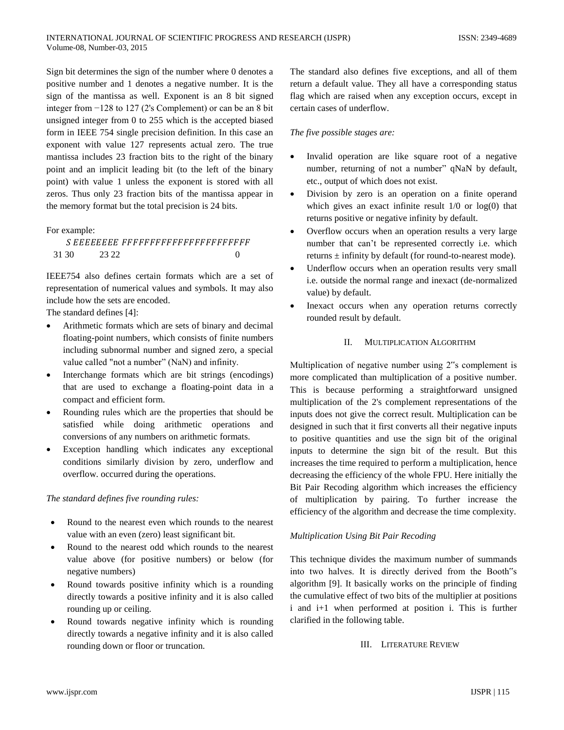Sign bit determines the sign of the number where 0 denotes a positive number and 1 denotes a negative number. It is the sign of the mantissa as well. Exponent is an 8 bit signed integer from −128 to 127 (2's Complement) or can be an 8 bit unsigned integer from 0 to 255 which is the accepted biased form in IEEE 754 single precision definition. In this case an exponent with value 127 represents actual zero. The true mantissa includes 23 fraction bits to the right of the binary point and an implicit leading bit (to the left of the binary point) with value 1 unless the exponent is stored with all zeros. Thus only 23 fraction bits of the mantissa appear in the memory format but the total precision is 24 bits.

## For example:

| 31.30 | 23.22 |  |
|-------|-------|--|

IEEE754 also defines certain formats which are a set of representation of numerical values and symbols. It may also include how the sets are encoded.

The standard defines [4]:

- Arithmetic formats which are sets of binary and decimal floating-point numbers, which consists of finite numbers including subnormal number and signed zero, a special value called "not a number" (NaN) and infinity.
- Interchange formats which are bit strings (encodings) that are used to exchange a floating-point data in a compact and efficient form.
- Rounding rules which are the properties that should be satisfied while doing arithmetic operations and conversions of any numbers on arithmetic formats.
- Exception handling which indicates any exceptional conditions similarly division by zero, underflow and overflow. occurred during the operations.

## *The standard defines five rounding rules:*

- Round to the nearest even which rounds to the nearest value with an even (zero) least significant bit.
- Round to the nearest odd which rounds to the nearest value above (for positive numbers) or below (for negative numbers)
- Round towards positive infinity which is a rounding directly towards a positive infinity and it is also called rounding up or ceiling.
- Round towards negative infinity which is rounding directly towards a negative infinity and it is also called rounding down or floor or truncation.

The standard also defines five exceptions, and all of them return a default value. They all have a corresponding status flag which are raised when any exception occurs, except in certain cases of underflow.

## *The five possible stages are:*

- Invalid operation are like square root of a negative number, returning of not a number" qNaN by default, etc., output of which does not exist.
- Division by zero is an operation on a finite operand which gives an exact infinite result 1/0 or log(0) that returns positive or negative infinity by default.
- Overflow occurs when an operation results a very large number that can't be represented correctly i.e. which returns ± infinity by default (for round-to-nearest mode).
- Underflow occurs when an operation results very small i.e. outside the normal range and inexact (de-normalized value) by default.
- Inexact occurs when any operation returns correctly rounded result by default.

## II. MULTIPLICATION ALGORITHM

Multiplication of negative number using 2"s complement is more complicated than multiplication of a positive number. This is because performing a straightforward unsigned multiplication of the 2's complement representations of the inputs does not give the correct result. Multiplication can be designed in such that it first converts all their negative inputs to positive quantities and use the sign bit of the original inputs to determine the sign bit of the result. But this increases the time required to perform a multiplication, hence decreasing the efficiency of the whole FPU. Here initially the Bit Pair Recoding algorithm which increases the efficiency of multiplication by pairing. To further increase the efficiency of the algorithm and decrease the time complexity.

## *Multiplication Using Bit Pair Recoding*

This technique divides the maximum number of summands into two halves. It is directly derived from the Booth"s algorithm [9]. It basically works on the principle of finding the cumulative effect of two bits of the multiplier at positions i and i+1 when performed at position i. This is further clarified in the following table.

## III. LITERATURE REVIEW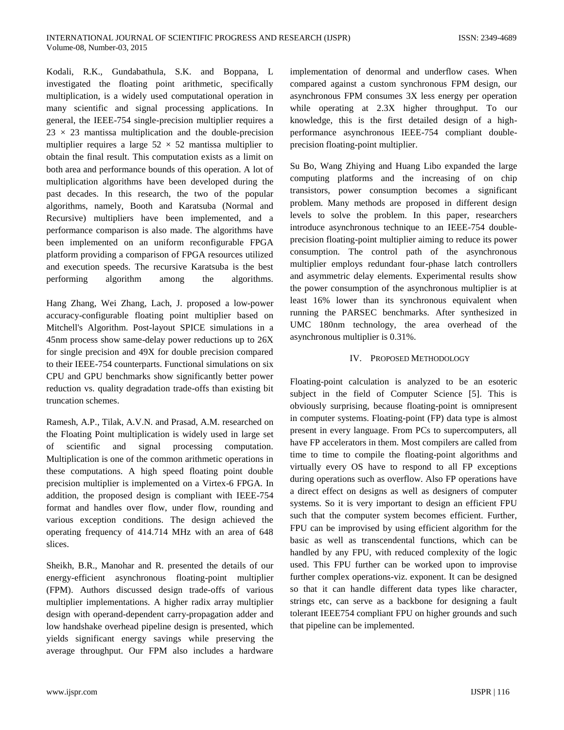Kodali, R.K., Gundabathula, S.K. and Boppana, L investigated the floating point arithmetic, specifically multiplication, is a widely used computational operation in many scientific and signal processing applications. In general, the IEEE-754 single-precision multiplier requires a  $23 \times 23$  mantissa multiplication and the double-precision multiplier requires a large  $52 \times 52$  mantissa multiplier to obtain the final result. This computation exists as a limit on both area and performance bounds of this operation. A lot of multiplication algorithms have been developed during the past decades. In this research, the two of the popular algorithms, namely, Booth and Karatsuba (Normal and Recursive) multipliers have been implemented, and a performance comparison is also made. The algorithms have been implemented on an uniform reconfigurable FPGA platform providing a comparison of FPGA resources utilized and execution speeds. The recursive Karatsuba is the best performing algorithm among the algorithms.

Hang Zhang, Wei Zhang, Lach, J. proposed a low-power accuracy-configurable floating point multiplier based on Mitchell's Algorithm. Post-layout SPICE simulations in a 45nm process show same-delay power reductions up to 26X for single precision and 49X for double precision compared to their IEEE-754 counterparts. Functional simulations on six CPU and GPU benchmarks show significantly better power reduction vs. quality degradation trade-offs than existing bit truncation schemes.

Ramesh, A.P., Tilak, A.V.N. and Prasad, A.M. researched on the Floating Point multiplication is widely used in large set of scientific and signal processing computation. Multiplication is one of the common arithmetic operations in these computations. A high speed floating point double precision multiplier is implemented on a Virtex-6 FPGA. In addition, the proposed design is compliant with IEEE-754 format and handles over flow, under flow, rounding and various exception conditions. The design achieved the operating frequency of 414.714 MHz with an area of 648 slices.

Sheikh, B.R., Manohar and R. presented the details of our energy-efficient asynchronous floating-point multiplier (FPM). Authors discussed design trade-offs of various multiplier implementations. A higher radix array multiplier design with operand-dependent carry-propagation adder and low handshake overhead pipeline design is presented, which yields significant energy savings while preserving the average throughput. Our FPM also includes a hardware

implementation of denormal and underflow cases. When compared against a custom synchronous FPM design, our asynchronous FPM consumes 3X less energy per operation while operating at 2.3X higher throughput. To our knowledge, this is the first detailed design of a highperformance asynchronous IEEE-754 compliant doubleprecision floating-point multiplier.

Su Bo, Wang Zhiying and Huang Libo expanded the large computing platforms and the increasing of on chip transistors, power consumption becomes a significant problem. Many methods are proposed in different design levels to solve the problem. In this paper, researchers introduce asynchronous technique to an IEEE-754 doubleprecision floating-point multiplier aiming to reduce its power consumption. The control path of the asynchronous multiplier employs redundant four-phase latch controllers and asymmetric delay elements. Experimental results show the power consumption of the asynchronous multiplier is at least 16% lower than its synchronous equivalent when running the PARSEC benchmarks. After synthesized in UMC 180nm technology, the area overhead of the asynchronous multiplier is 0.31%.

## IV. PROPOSED METHODOLOGY

Floating-point calculation is analyzed to be an esoteric subject in the field of Computer Science [5]. This is obviously surprising, because floating-point is omnipresent in computer systems. Floating-point (FP) data type is almost present in every language. From PCs to supercomputers, all have FP accelerators in them. Most compilers are called from time to time to compile the floating-point algorithms and virtually every OS have to respond to all FP exceptions during operations such as overflow. Also FP operations have a direct effect on designs as well as designers of computer systems. So it is very important to design an efficient FPU such that the computer system becomes efficient. Further, FPU can be improvised by using efficient algorithm for the basic as well as transcendental functions, which can be handled by any FPU, with reduced complexity of the logic used. This FPU further can be worked upon to improvise further complex operations-viz. exponent. It can be designed so that it can handle different data types like character, strings etc, can serve as a backbone for designing a fault tolerant IEEE754 compliant FPU on higher grounds and such that pipeline can be implemented.